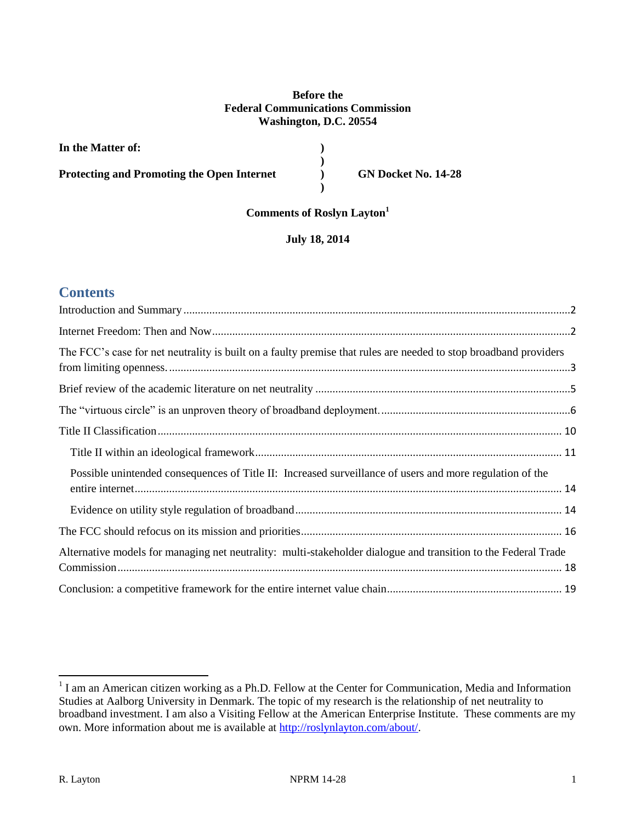#### **Before the Federal Communications Commission Washington, D.C. 20554**

| In the Matter of:                                 |                     |
|---------------------------------------------------|---------------------|
| <b>Protecting and Promoting the Open Internet</b> | GN Docket No. 14-28 |
|                                                   |                     |

**Comments of Roslyn Layton<sup>1</sup>**

**July 18, 2014**

#### **Contents**

| The FCC's case for net neutrality is built on a faulty premise that rules are needed to stop broadband providers |  |
|------------------------------------------------------------------------------------------------------------------|--|
|                                                                                                                  |  |
|                                                                                                                  |  |
|                                                                                                                  |  |
|                                                                                                                  |  |
| Possible unintended consequences of Title II: Increased surveillance of users and more regulation of the         |  |
|                                                                                                                  |  |
|                                                                                                                  |  |
| Alternative models for managing net neutrality: multi-stakeholder dialogue and transition to the Federal Trade   |  |
|                                                                                                                  |  |

<sup>&</sup>lt;sup>1</sup> I am an American citizen working as a Ph.D. Fellow at the Center for Communication, Media and Information Studies at Aalborg University in Denmark. The topic of my research is the relationship of net neutrality to broadband investment. I am also a Visiting Fellow at the American Enterprise Institute. These comments are my own. More information about me is available at [http://roslynlayton.com/about/.](http://roslynlayton.com/about/)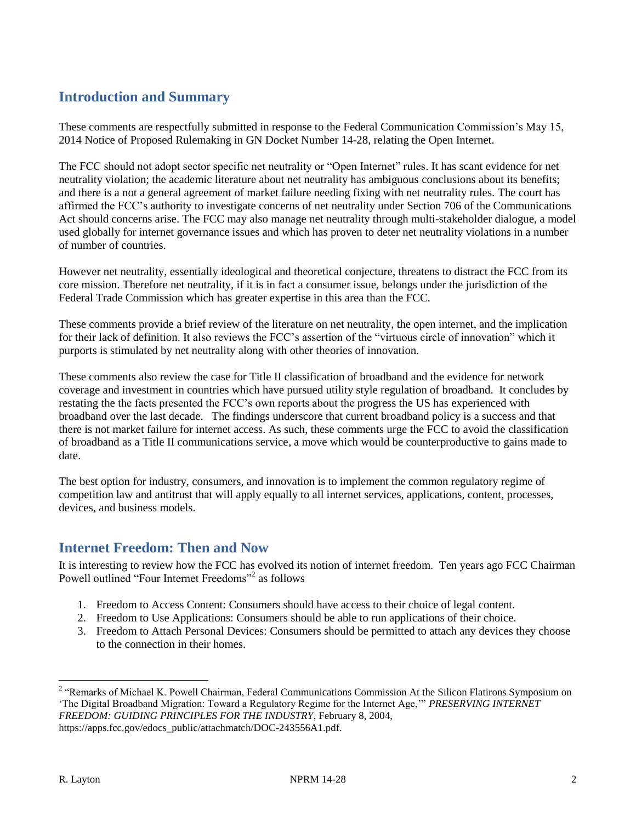## <span id="page-1-0"></span>**Introduction and Summary**

These comments are respectfully submitted in response to the Federal Communication Commission's May 15, 2014 Notice of Proposed Rulemaking in GN Docket Number 14-28, relating the Open Internet.

The FCC should not adopt sector specific net neutrality or "Open Internet" rules. It has scant evidence for net neutrality violation; the academic literature about net neutrality has ambiguous conclusions about its benefits; and there is a not a general agreement of market failure needing fixing with net neutrality rules. The court has affirmed the FCC's authority to investigate concerns of net neutrality under Section 706 of the Communications Act should concerns arise. The FCC may also manage net neutrality through multi-stakeholder dialogue, a model used globally for internet governance issues and which has proven to deter net neutrality violations in a number of number of countries.

However net neutrality, essentially ideological and theoretical conjecture, threatens to distract the FCC from its core mission. Therefore net neutrality, if it is in fact a consumer issue, belongs under the jurisdiction of the Federal Trade Commission which has greater expertise in this area than the FCC.

These comments provide a brief review of the literature on net neutrality, the open internet, and the implication for their lack of definition. It also reviews the FCC's assertion of the "virtuous circle of innovation" which it purports is stimulated by net neutrality along with other theories of innovation.

These comments also review the case for Title II classification of broadband and the evidence for network coverage and investment in countries which have pursued utility style regulation of broadband. It concludes by restating the the facts presented the FCC's own reports about the progress the US has experienced with broadband over the last decade. The findings underscore that current broadband policy is a success and that there is not market failure for internet access. As such, these comments urge the FCC to avoid the classification of broadband as a Title II communications service, a move which would be counterproductive to gains made to date.

The best option for industry, consumers, and innovation is to implement the common regulatory regime of competition law and antitrust that will apply equally to all internet services, applications, content, processes, devices, and business models.

#### <span id="page-1-1"></span>**Internet Freedom: Then and Now**

It is interesting to review how the FCC has evolved its notion of internet freedom. Ten years ago FCC Chairman Powell outlined "Four Internet Freedoms"<sup>2</sup> as follows

- 1. Freedom to Access Content: Consumers should have access to their choice of legal content.
- 2. Freedom to Use Applications: Consumers should be able to run applications of their choice.
- 3. Freedom to Attach Personal Devices: Consumers should be permitted to attach any devices they choose to the connection in their homes.

<sup>&</sup>lt;sup>2</sup> "Remarks of Michael K. Powell Chairman, Federal Communications Commission At the Silicon Flatirons Symposium on 'The Digital Broadband Migration: Toward a Regulatory Regime for the Internet Age,'" *PRESERVING INTERNET FREEDOM: GUIDING PRINCIPLES FOR THE INDUSTRY*, February 8, 2004, https://apps.fcc.gov/edocs\_public/attachmatch/DOC-243556A1.pdf.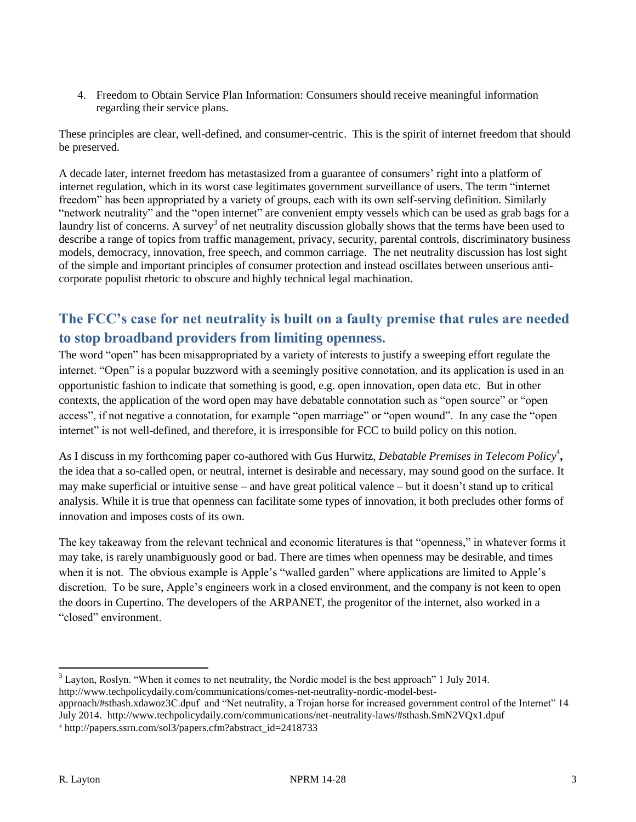4. Freedom to Obtain Service Plan Information: Consumers should receive meaningful information regarding their service plans.

These principles are clear, well-defined, and consumer-centric. This is the spirit of internet freedom that should be preserved.

A decade later, internet freedom has metastasized from a guarantee of consumers' right into a platform of internet regulation, which in its worst case legitimates government surveillance of users. The term "internet freedom" has been appropriated by a variety of groups, each with its own self-serving definition. Similarly "network neutrality" and the "open internet" are convenient empty vessels which can be used as grab bags for a laundry list of concerns. A survey<sup>3</sup> of net neutrality discussion globally shows that the terms have been used to describe a range of topics from traffic management, privacy, security, parental controls, discriminatory business models, democracy, innovation, free speech, and common carriage. The net neutrality discussion has lost sight of the simple and important principles of consumer protection and instead oscillates between unserious anticorporate populist rhetoric to obscure and highly technical legal machination.

# <span id="page-2-0"></span>**The FCC's case for net neutrality is built on a faulty premise that rules are needed to stop broadband providers from limiting openness.**

The word "open" has been misappropriated by a variety of interests to justify a sweeping effort regulate the internet. "Open" is a popular buzzword with a seemingly positive connotation, and its application is used in an opportunistic fashion to indicate that something is good, e.g. open innovation, open data etc. But in other contexts, the application of the word open may have debatable connotation such as "open source" or "open access", if not negative a connotation, for example "open marriage" or "open wound". In any case the "open internet" is not well-defined, and therefore, it is irresponsible for FCC to build policy on this notion.

As I discuss in my forthcoming paper co-authored with Gus Hurwitz, *Debatable Premises in Telecom Policy<sup>4</sup>*, the idea that a so-called open, or neutral, internet is desirable and necessary, may sound good on the surface. It may make superficial or intuitive sense – and have great political valence – but it doesn't stand up to critical analysis. While it is true that openness can facilitate some types of innovation, it both precludes other forms of innovation and imposes costs of its own.

The key takeaway from the relevant technical and economic literatures is that "openness," in whatever forms it may take, is rarely unambiguously good or bad. There are times when openness may be desirable, and times when it is not. The obvious example is Apple's "walled garden" where applications are limited to Apple's discretion. To be sure, Apple's engineers work in a closed environment, and the company is not keen to open the doors in Cupertino. The developers of the ARPANET, the progenitor of the internet, also worked in a "closed" environment.

 $\overline{\phantom{a}}$  $3$  Layton, Roslyn. "When it comes to net neutrality, the Nordic model is the best approach" 1 July 2014. http://www.techpolicydaily.com/communications/comes-net-neutrality-nordic-model-best-

approach/#sthash.xdawoz3C.dpuf and "Net neutrality, a Trojan horse for increased government control of the Internet" 14 July 2014. http://www.techpolicydaily.com/communications/net-neutrality-laws/#sthash.SmN2VQx1.dpuf <sup>4</sup> http://papers.ssrn.com/sol3/papers.cfm?abstract\_id=2418733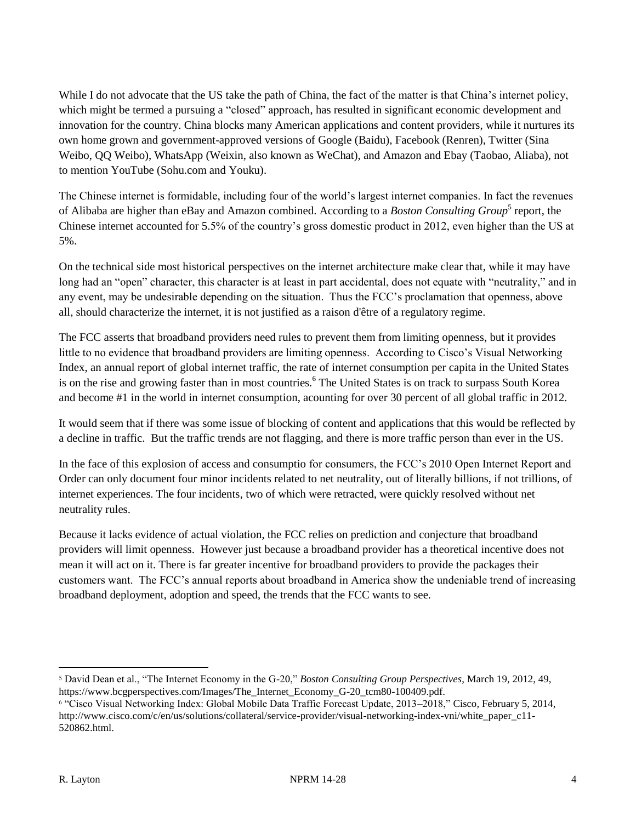While I do not advocate that the US take the path of China, the fact of the matter is that China's internet policy, which might be termed a pursuing a "closed" approach, has resulted in significant economic development and innovation for the country. China blocks many American applications and content providers, while it nurtures its own home grown and government-approved versions of Google (Baidu), Facebook (Renren), Twitter (Sina Weibo, QQ Weibo), WhatsApp (Weixin, also known as WeChat), and Amazon and Ebay (Taobao, Aliaba), not to mention YouTube (Sohu.com and Youku).

The Chinese internet is formidable, including four of the world's largest internet companies. In fact the revenues of Alibaba are higher than eBay and Amazon combined. According to a *Boston Consulting Group*<sup>5</sup> report, the Chinese internet accounted for 5.5% of the country's gross domestic product in 2012, even higher than the US at 5%.

On the technical side most historical perspectives on the internet architecture make clear that, while it may have long had an "open" character, this character is at least in part accidental, does not equate with "neutrality," and in any event, may be undesirable depending on the situation. Thus the FCC's proclamation that openness, above all, should characterize the internet, it is not justified as a raison d'être of a regulatory regime.

The FCC asserts that broadband providers need rules to prevent them from limiting openness, but it provides little to no evidence that broadband providers are limiting openness. According to Cisco's Visual Networking Index, an annual report of global internet traffic, the rate of internet consumption per capita in the United States is on the rise and growing faster than in most countries.<sup>6</sup> The United States is on track to surpass South Korea and become #1 in the world in internet consumption, acounting for over 30 percent of all global traffic in 2012.

It would seem that if there was some issue of blocking of content and applications that this would be reflected by a decline in traffic. But the traffic trends are not flagging, and there is more traffic person than ever in the US.

In the face of this explosion of access and consumptio for consumers, the FCC's 2010 Open Internet Report and Order can only document four minor incidents related to net neutrality, out of literally billions, if not trillions, of internet experiences. The four incidents, two of which were retracted, were quickly resolved without net neutrality rules.

Because it lacks evidence of actual violation, the FCC relies on prediction and conjecture that broadband providers will limit openness. However just because a broadband provider has a theoretical incentive does not mean it will act on it. There is far greater incentive for broadband providers to provide the packages their customers want. The FCC's annual reports about broadband in America show the undeniable trend of increasing broadband deployment, adoption and speed, the trends that the FCC wants to see.

<sup>5</sup> David Dean et al., "The Internet Economy in the G-20," *Boston Consulting Group Perspectives*, March 19, 2012, 49, https://www.bcgperspectives.com/Images/The\_Internet\_Economy\_G-20\_tcm80-100409.pdf.

<sup>6</sup> "Cisco Visual Networking Index: Global Mobile Data Traffic Forecast Update, 2013–2018," Cisco, February 5, 2014, http://www.cisco.com/c/en/us/solutions/collateral/service-provider/visual-networking-index-vni/white\_paper\_c11- 520862.html.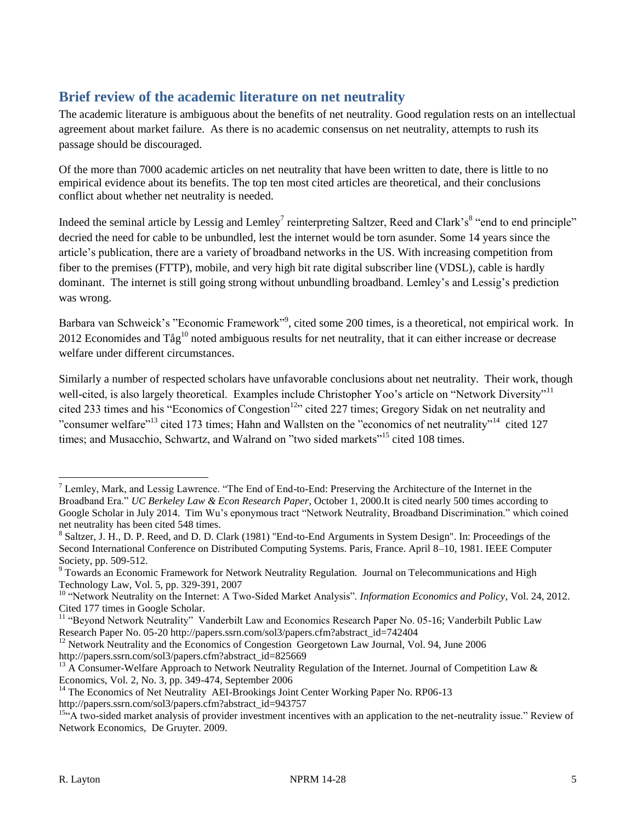# <span id="page-4-0"></span>**Brief review of the academic literature on net neutrality**

The academic literature is ambiguous about the benefits of net neutrality. Good regulation rests on an intellectual agreement about market failure. As there is no academic consensus on net neutrality, attempts to rush its passage should be discouraged.

Of the more than 7000 academic articles on net neutrality that have been written to date, there is little to no empirical evidence about its benefits. The top ten most cited articles are theoretical, and their conclusions conflict about whether net neutrality is needed.

Indeed the seminal article by Lessig and Lemley<sup>7</sup> reinterpreting Saltzer, Reed and Clark's<sup>8</sup> "end to end principle" decried the need for cable to be unbundled, lest the internet would be torn asunder. Some 14 years since the article's publication, there are a variety of broadband networks in the US. With increasing competition from fiber to the premises (FTTP), mobile, and very high bit rate digital subscriber line (VDSL), cable is hardly dominant. The internet is still going strong without unbundling broadband. Lemley's and Lessig's prediction was wrong.

Barbara van Schweick's "Economic Framework"<sup>9</sup>, cited some 200 times, is a theoretical, not empirical work. In 2012 Economides and  $\text{Tåg}^{10}$  noted ambiguous results for net neutrality, that it can either increase or decrease welfare under different circumstances.

Similarly a number of respected scholars have unfavorable conclusions about net neutrality. Their work, though well-cited, is also largely theoretical. Examples include Christopher Yoo's article on "Network Diversity"<sup>11</sup> cited 233 times and his "Economics of Congestion<sup>12</sup>" cited 227 times; Gregory Sidak on net neutrality and "consumer welfare"<sup>13</sup> cited 173 times; Hahn and Wallsten on the "economics of net neutrality"<sup>14</sup> cited 127 times; and Musacchio, Schwartz, and Walrand on "two sided markets"<sup>15</sup> cited 108 times.

 $<sup>7</sup>$  Lemley, Mark, and Lessig Lawrence. "The End of End-to-End: Preserving the Architecture of the Internet in the</sup> Broadband Era." *UC Berkeley Law & Econ Research Paper*, October 1, 2000.It is cited nearly 500 times according to Google Scholar in July 2014. Tim Wu's eponymous tract "Network Neutrality, Broadband Discrimination." which coined net neutrality has been cited 548 times.

<sup>&</sup>lt;sup>8</sup> Saltzer, J. H., D. P. Reed, and D. D. Clark (1981) "End-to-End Arguments in System Design". In: Proceedings of the Second International Conference on Distributed Computing Systems. Paris, France. April 8–10, 1981. IEEE Computer Society, pp. 509-512.

<sup>&</sup>lt;sup>9</sup> Towards an Economic Framework for Network Neutrality Regulation. Journal on Telecommunications and High Technology Law, Vol. 5, pp. 329-391, 2007

<sup>10</sup> "Network Neutrality on the Internet: A Two-Sided Market Analysis". *Information Economics and Policy*, Vol. 24, 2012. Cited 177 times in Google Scholar.

<sup>&</sup>lt;sup>11</sup> "Beyond Network Neutrality" Vanderbilt Law and Economics Research Paper No. 05-16; Vanderbilt Public Law Research Paper No. 05-20 http://papers.ssrn.com/sol3/papers.cfm?abstract\_id=742404

<sup>&</sup>lt;sup>12</sup> Network Neutrality and the Economics of Congestion Georgetown Law Journal, Vol. 94, June 2006 http://papers.ssrn.com/sol3/papers.cfm?abstract\_id=825669

<sup>&</sup>lt;sup>13</sup> A Consumer-Welfare Approach to Network Neutrality Regulation of the Internet. Journal of Competition Law  $\&$ Economics, Vol. 2, No. 3, pp. 349-474, September 2006

<sup>&</sup>lt;sup>14</sup> The Economics of Net Neutrality AEI-Brookings Joint Center Working Paper No. RP06-13

http://papers.ssrn.com/sol3/papers.cfm?abstract\_id=943757

 $154$  A two-sided market analysis of provider investment incentives with an application to the net-neutrality issue." Review of Network Economics, De Gruyter. 2009.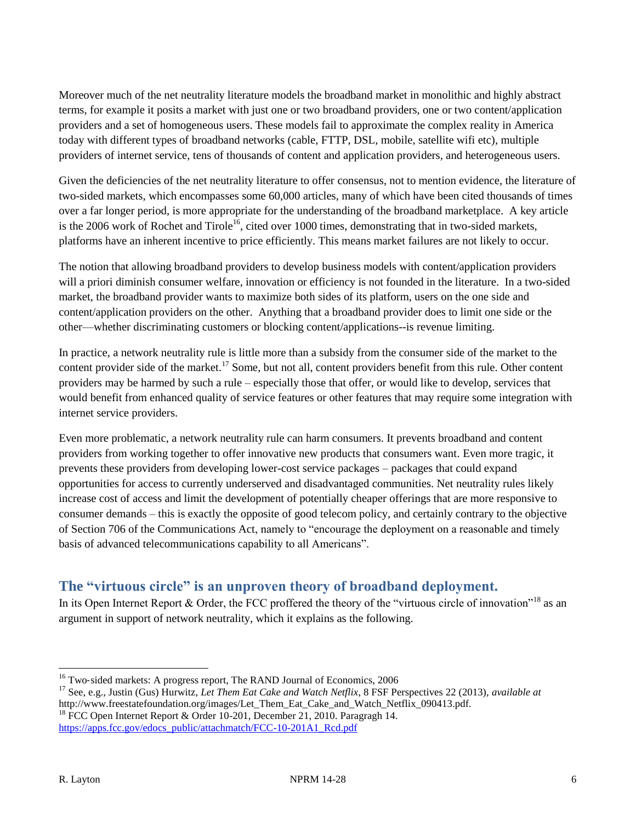Moreover much of the net neutrality literature models the broadband market in monolithic and highly abstract terms, for example it posits a market with just one or two broadband providers, one or two content/application providers and a set of homogeneous users. These models fail to approximate the complex reality in America today with different types of broadband networks (cable, FTTP, DSL, mobile, satellite wifi etc), multiple providers of internet service, tens of thousands of content and application providers, and heterogeneous users.

Given the deficiencies of the net neutrality literature to offer consensus, not to mention evidence, the literature of two-sided markets, which encompasses some 60,000 articles, many of which have been cited thousands of times over a far longer period, is more appropriate for the understanding of the broadband marketplace. A key article is the 2006 work of Rochet and Tirole<sup>16</sup>, cited over 1000 times, demonstrating that in two-sided markets, platforms have an inherent incentive to price efficiently. This means market failures are not likely to occur.

The notion that allowing broadband providers to develop business models with content/application providers will a priori diminish consumer welfare, innovation or efficiency is not founded in the literature. In a two-sided market, the broadband provider wants to maximize both sides of its platform, users on the one side and content/application providers on the other. Anything that a broadband provider does to limit one side or the other—whether discriminating customers or blocking content/applications--is revenue limiting.

In practice, a network neutrality rule is little more than a subsidy from the consumer side of the market to the content provider side of the market.<sup>17</sup> Some, but not all, content providers benefit from this rule. Other content providers may be harmed by such a rule – especially those that offer, or would like to develop, services that would benefit from enhanced quality of service features or other features that may require some integration with internet service providers.

Even more problematic, a network neutrality rule can harm consumers. It prevents broadband and content providers from working together to offer innovative new products that consumers want. Even more tragic, it prevents these providers from developing lower-cost service packages – packages that could expand opportunities for access to currently underserved and disadvantaged communities. Net neutrality rules likely increase cost of access and limit the development of potentially cheaper offerings that are more responsive to consumer demands – this is exactly the opposite of good telecom policy, and certainly contrary to the objective of Section 706 of the Communications Act, namely to "encourage the deployment on a reasonable and timely basis of advanced telecommunications capability to all Americans".

## <span id="page-5-0"></span>**The "virtuous circle" is an unproven theory of broadband deployment.**

In its Open Internet Report & Order, the FCC proffered the theory of the "virtuous circle of innovation"<sup>18</sup> as an argument in support of network neutrality, which it explains as the following.

<sup>&</sup>lt;sup>16</sup> Two-sided markets: A progress report, The RAND Journal of Economics, 2006

<sup>17</sup> See, e.g., Justin (Gus) Hurwitz, *Let Them Eat Cake and Watch Netflix*, 8 FSF Perspectives 22 (2013), *available at*  http://www.freestatefoundation.org/images/Let\_Them\_Eat\_Cake\_and\_Watch\_Netflix\_090413.pdf.

<sup>&</sup>lt;sup>18</sup> FCC Open Internet Report & Order 10-201, December 21, 2010. Paragragh 14. [https://apps.fcc.gov/edocs\\_public/attachmatch/FCC-10-201A1\\_Rcd.pdf](https://apps.fcc.gov/edocs_public/attachmatch/FCC-10-201A1_Rcd.pdf)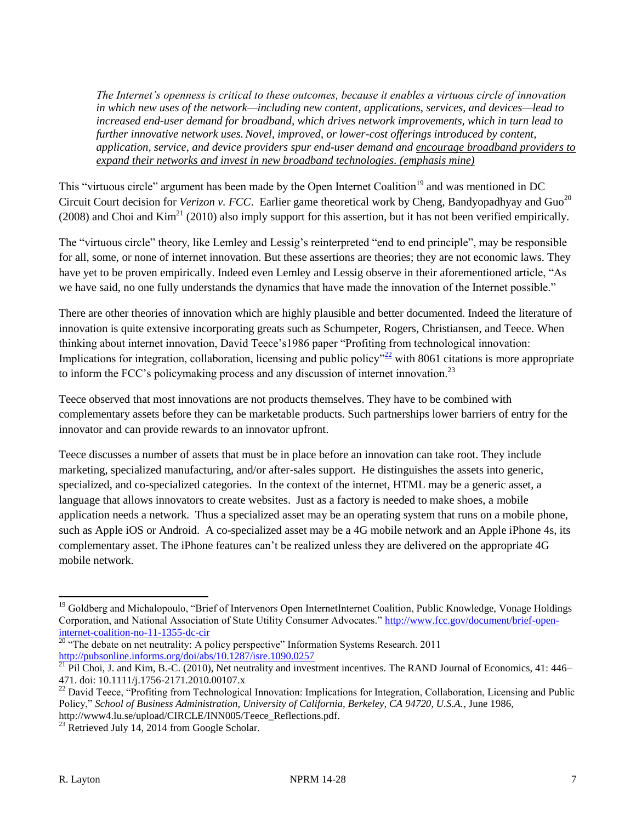*The Internet's openness is critical to these outcomes, because it enables a virtuous circle of innovation in which new uses of the network—including new content, applications, services, and devices—lead to increased end-user demand for broadband, which drives network improvements, which in turn lead to further innovative network uses.Novel, improved, or lower-cost offerings introduced by content, application, service, and device providers spur end-user demand and encourage broadband providers to expand their networks and invest in new broadband technologies. (emphasis mine)*

This "virtuous circle" argument has been made by the Open Internet Coalition<sup>19</sup> and was mentioned in DC Circuit Court decision for *Verizon v. FCC*. Earlier game theoretical work by Cheng, Bandyopadhyay and Guo<sup>20</sup> (2008) and Choi and Kim<sup>21</sup> (2010) also imply support for this assertion, but it has not been verified empirically.

The "virtuous circle" theory, like Lemley and Lessig's reinterpreted "end to end principle", may be responsible for all, some, or none of internet innovation. But these assertions are theories; they are not economic laws. They have yet to be proven empirically. Indeed even Lemley and Lessig observe in their aforementioned article, "As we have said, no one fully understands the dynamics that have made the innovation of the Internet possible."

There are other theories of innovation which are highly plausible and better documented. Indeed the literature of innovation is quite extensive incorporating greats such as Schumpeter, Rogers, Christiansen, and Teece. When thinking about internet innovation, David Teece's1986 paper "Profiting from technological innovation: Implications for integration, collaboration, licensing and public policy<sup> $\frac{2}{2}$ </sup> with 8061 citations is more appropriate to inform the FCC's policymaking process and any discussion of internet innovation.<sup>23</sup>

Teece observed that most innovations are not products themselves. They have to be combined with complementary assets before they can be marketable products. Such partnerships lower barriers of entry for the innovator and can provide rewards to an innovator upfront.

Teece discusses a number of assets that must be in place before an innovation can take root. They include marketing, specialized manufacturing, and/or after-sales support. He distinguishes the assets into generic, specialized, and co-specialized categories. In the context of the internet, HTML may be a generic asset, a language that allows innovators to create websites. Just as a factory is needed to make shoes, a mobile application needs a network. Thus a specialized asset may be an operating system that runs on a mobile phone, such as Apple iOS or Android. A co-specialized asset may be a 4G mobile network and an Apple iPhone 4s, its complementary asset. The iPhone features can't be realized unless they are delivered on the appropriate 4G mobile network.

 $\overline{a}$ <sup>19</sup> Goldberg and Michalopoulo, "Brief of Intervenors Open InternetInternet Coalition, Public Knowledge, Vonage Holdings Corporation, and National Association of State Utility Consumer Advocates." [http://www.fcc.gov/document/brief-open](http://www.fcc.gov/document/brief-open-internet-coalition-no-11-1355-dc-cir)[internet-coalition-no-11-1355-dc-cir](http://www.fcc.gov/document/brief-open-internet-coalition-no-11-1355-dc-cir)

 $20$  "The debate on net neutrality: A policy perspective" Information Systems Research. 2011 <http://pubsonline.informs.org/doi/abs/10.1287/isre.1090.0257>

 $^{21}$  Pil Choi, J. and Kim, B.-C. (2010), Net neutrality and investment incentives. The RAND Journal of Economics, 41: 446– 471. doi: 10.1111/j.1756-2171.2010.00107.x

 $^{22}$  David Teece, "Profiting from Technological Innovation: Implications for Integration, Collaboration, Licensing and Public Policy," *School of Business Administration, University of California, Berkeley, CA 94720, U.S.A.*, June 1986, http://www4.lu.se/upload/CIRCLE/INN005/Teece\_Reflections.pdf.

 $^{23}$  Retrieved July 14, 2014 from Google Scholar.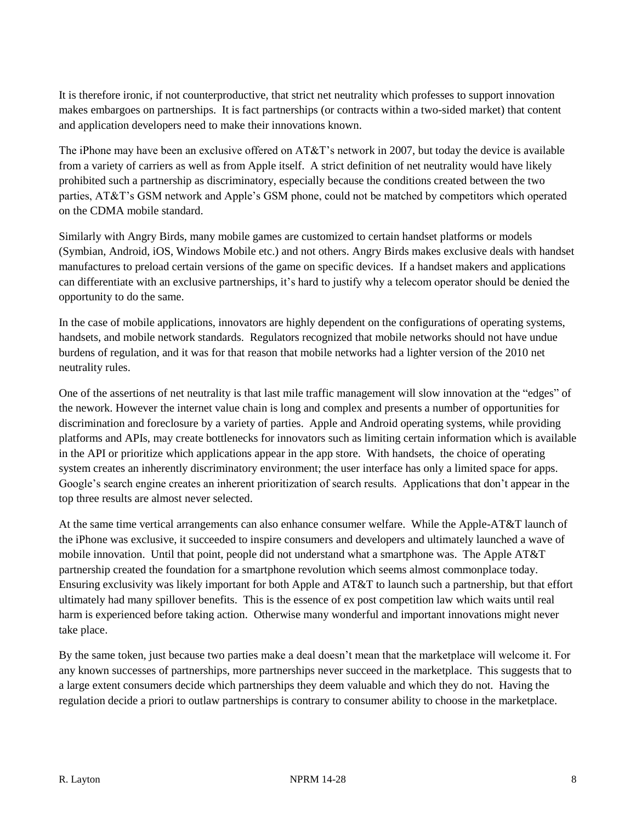It is therefore ironic, if not counterproductive, that strict net neutrality which professes to support innovation makes embargoes on partnerships. It is fact partnerships (or contracts within a two-sided market) that content and application developers need to make their innovations known.

The iPhone may have been an exclusive offered on AT&T's network in 2007, but today the device is available from a variety of carriers as well as from Apple itself. A strict definition of net neutrality would have likely prohibited such a partnership as discriminatory, especially because the conditions created between the two parties, AT&T's GSM network and Apple's GSM phone, could not be matched by competitors which operated on the CDMA mobile standard.

Similarly with Angry Birds, many mobile games are customized to certain handset platforms or models (Symbian, Android, iOS, Windows Mobile etc.) and not others. Angry Birds makes exclusive deals with handset manufactures to preload certain versions of the game on specific devices. If a handset makers and applications can differentiate with an exclusive partnerships, it's hard to justify why a telecom operator should be denied the opportunity to do the same.

In the case of mobile applications, innovators are highly dependent on the configurations of operating systems, handsets, and mobile network standards. Regulators recognized that mobile networks should not have undue burdens of regulation, and it was for that reason that mobile networks had a lighter version of the 2010 net neutrality rules.

One of the assertions of net neutrality is that last mile traffic management will slow innovation at the "edges" of the nework. However the internet value chain is long and complex and presents a number of opportunities for discrimination and foreclosure by a variety of parties. Apple and Android operating systems, while providing platforms and APIs, may create bottlenecks for innovators such as limiting certain information which is available in the API or prioritize which applications appear in the app store. With handsets, the choice of operating system creates an inherently discriminatory environment; the user interface has only a limited space for apps. Google's search engine creates an inherent prioritization of search results. Applications that don't appear in the top three results are almost never selected.

At the same time vertical arrangements can also enhance consumer welfare. While the Apple-AT&T launch of the iPhone was exclusive, it succeeded to inspire consumers and developers and ultimately launched a wave of mobile innovation. Until that point, people did not understand what a smartphone was. The Apple AT&T partnership created the foundation for a smartphone revolution which seems almost commonplace today. Ensuring exclusivity was likely important for both Apple and AT&T to launch such a partnership, but that effort ultimately had many spillover benefits. This is the essence of ex post competition law which waits until real harm is experienced before taking action. Otherwise many wonderful and important innovations might never take place.

By the same token, just because two parties make a deal doesn't mean that the marketplace will welcome it. For any known successes of partnerships, more partnerships never succeed in the marketplace. This suggests that to a large extent consumers decide which partnerships they deem valuable and which they do not. Having the regulation decide a priori to outlaw partnerships is contrary to consumer ability to choose in the marketplace.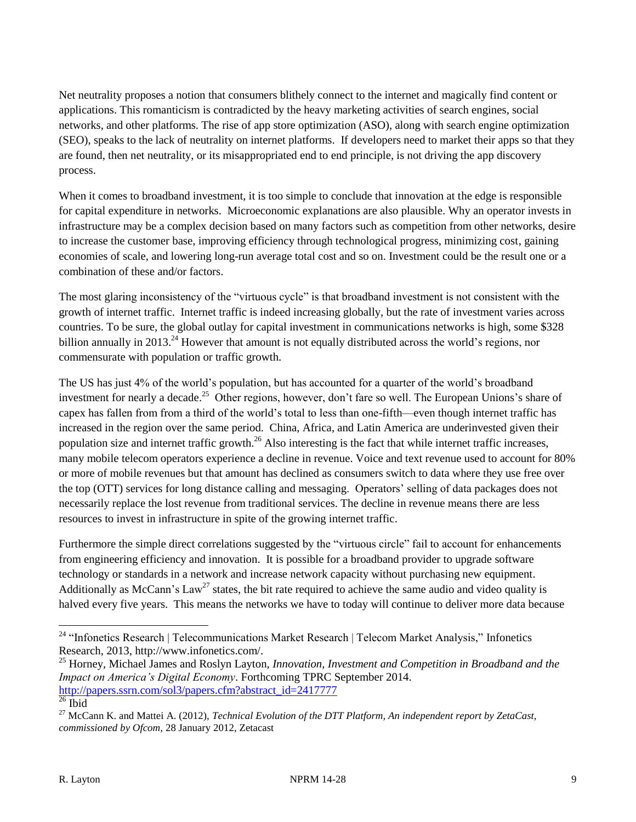Net neutrality proposes a notion that consumers blithely connect to the internet and magically find content or applications. This romanticism is contradicted by the heavy marketing activities of search engines, social networks, and other platforms. The rise of app store optimization (ASO), along with search engine optimization (SEO), speaks to the lack of neutrality on internet platforms. If developers need to market their apps so that they are found, then net neutrality, or its misappropriated end to end principle, is not driving the app discovery process.

When it comes to broadband investment, it is too simple to conclude that innovation at the edge is responsible for capital expenditure in networks. Microeconomic explanations are also plausible. Why an operator invests in infrastructure may be a complex decision based on many factors such as competition from other networks, desire to increase the customer base, improving efficiency through technological progress, minimizing cost, gaining economies of scale, and lowering long-run average total cost and so on. Investment could be the result one or a combination of these and/or factors.

The most glaring inconsistency of the "virtuous cycle" is that broadband investment is not consistent with the growth of internet traffic. Internet traffic is indeed increasing globally, but the rate of investment varies across countries. To be sure, the global outlay for capital investment in communications networks is high, some \$328 billion annually in 2013.<sup>24</sup> However that amount is not equally distributed across the world's regions, nor commensurate with population or traffic growth.

The US has just 4% of the world's population, but has accounted for a quarter of the world's broadband investment for nearly a decade.<sup>25</sup> Other regions, however, don't fare so well. The European Unions's share of capex has fallen from from a third of the world's total to less than one-fifth—even though internet traffic has increased in the region over the same period. China, Africa, and Latin America are underinvested given their population size and internet traffic growth.<sup>26</sup> Also interesting is the fact that while internet traffic increases, many mobile telecom operators experience a decline in revenue. Voice and text revenue used to account for 80% or more of mobile revenues but that amount has declined as consumers switch to data where they use free over the top (OTT) services for long distance calling and messaging. Operators' selling of data packages does not necessarily replace the lost revenue from traditional services. The decline in revenue means there are less resources to invest in infrastructure in spite of the growing internet traffic.

Furthermore the simple direct correlations suggested by the "virtuous circle" fail to account for enhancements from engineering efficiency and innovation. It is possible for a broadband provider to upgrade software technology or standards in a network and increase network capacity without purchasing new equipment. Additionally as McCann's Law<sup>27</sup> states, the bit rate required to achieve the same audio and video quality is halved every five years. This means the networks we have to today will continue to deliver more data because

<sup>&</sup>lt;sup>24</sup> "Infonetics Research | Telecommunications Market Research | Telecom Market Analysis," Infonetics Research, 2013, http://www.infonetics.com/.

<sup>25</sup> Horney, Michael James and Roslyn Layton, *Innovation, Investment and Competition in Broadband and the Impact on America's Digital Economy*. Forthcoming TPRC September 2014. [http://papers.ssrn.com/sol3/papers.cfm?abstract\\_id=2417777](http://papers.ssrn.com/sol3/papers.cfm?abstract_id=2417777)

 $^{26}$  Ibid

<sup>27</sup> McCann K. and Mattei A. (2012), *Technical Evolution of the DTT Platform, An independent report by ZetaCast, commissioned by Ofcom,* 28 January 2012, Zetacast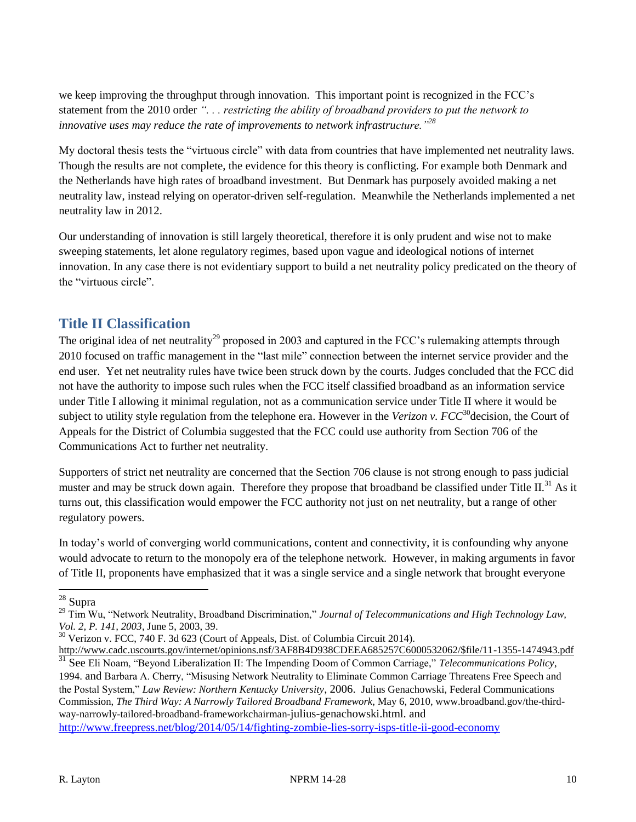we keep improving the throughput through innovation. This important point is recognized in the FCC's statement from the 2010 order *". . . restricting the ability of broadband providers to put the network to innovative uses may reduce the rate of improvements to network infrastructure."<sup>28</sup>*

My doctoral thesis tests the "virtuous circle" with data from countries that have implemented net neutrality laws. Though the results are not complete, the evidence for this theory is conflicting. For example both Denmark and the Netherlands have high rates of broadband investment. But Denmark has purposely avoided making a net neutrality law, instead relying on operator-driven self-regulation. Meanwhile the Netherlands implemented a net neutrality law in 2012.

Our understanding of innovation is still largely theoretical, therefore it is only prudent and wise not to make sweeping statements, let alone regulatory regimes, based upon vague and ideological notions of internet innovation. In any case there is not evidentiary support to build a net neutrality policy predicated on the theory of the "virtuous circle".

#### <span id="page-9-0"></span>**Title II Classification**

The original idea of net neutrality<sup>29</sup> proposed in 2003 and captured in the FCC's rulemaking attempts through 2010 focused on traffic management in the "last mile" connection between the internet service provider and the end user. Yet net neutrality rules have twice been struck down by the courts. Judges concluded that the FCC did not have the authority to impose such rules when the FCC itself classified broadband as an information service under Title I allowing it minimal regulation, not as a communication service under Title II where it would be subject to utility style regulation from the telephone era. However in the *Verizon v. FCC*<sup>30</sup>decision, the Court of Appeals for the District of Columbia suggested that the FCC could use authority from Section 706 of the Communications Act to further net neutrality.

Supporters of strict net neutrality are concerned that the Section 706 clause is not strong enough to pass judicial muster and may be struck down again. Therefore they propose that broadband be classified under Title II.<sup>31</sup> As it turns out, this classification would empower the FCC authority not just on net neutrality, but a range of other regulatory powers.

In today's world of converging world communications, content and connectivity, it is confounding why anyone would advocate to return to the monopoly era of the telephone network. However, in making arguments in favor of Title II, proponents have emphasized that it was a single service and a single network that brought everyone

<sup>&</sup>lt;sup>28</sup> Supra

<sup>&</sup>lt;sup>29</sup> Tim Wu, "Network Neutrality, Broadband Discrimination," Journal of Telecommunications and High Technology Law, *Vol. 2, P. 141, 2003*, June 5, 2003, 39.

<sup>30</sup> Verizon v. FCC, 740 F. 3d 623 (Court of Appeals, Dist. of Columbia Circuit 2014).

[http://www.cadc.uscourts.gov/internet/opinions.nsf/3AF8B4D938CDEEA685257C6000532062/\\$file/11-1355-1474943.pdf](http://www.cadc.uscourts.gov/internet/opinions.nsf/3AF8B4D938CDEEA685257C6000532062/$file/11-1355-1474943.pdf) <sup>31</sup> See Eli Noam, "Beyond Liberalization II: The Impending Doom of Common Carriage," *Telecommunications Policy*, 1994. and Barbara A. Cherry, "Misusing Network Neutrality to Eliminate Common Carriage Threatens Free Speech and the Postal System," *Law Review: Northern Kentucky University*, 2006. Julius Genachowski, Federal Communications Commission, *The Third Way: A Narrowly Tailored Broadband Framework*, May 6, 2010, www.broadband.gov/the-thirdway-narrowly-tailored-broadband-frameworkchairman-julius-genachowski.html. and <http://www.freepress.net/blog/2014/05/14/fighting-zombie-lies-sorry-isps-title-ii-good-economy>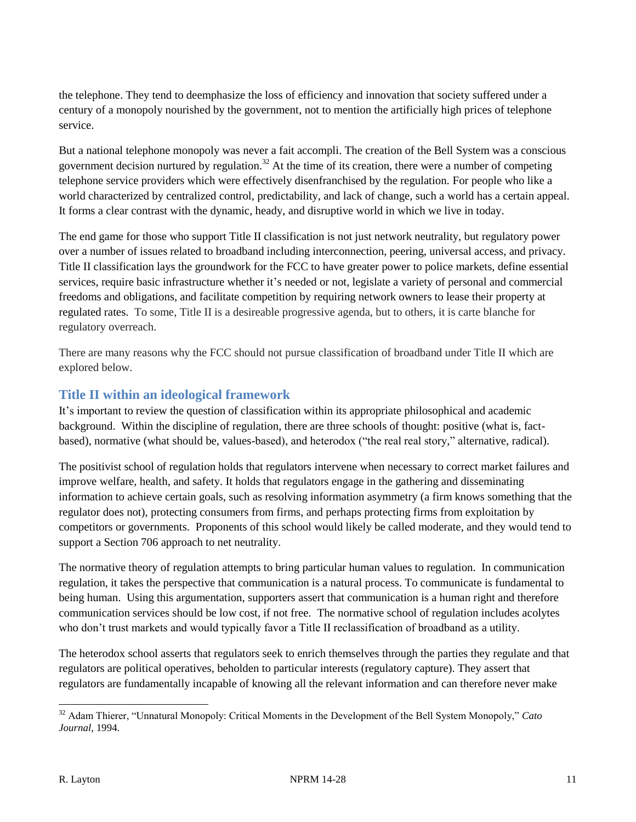the telephone. They tend to deemphasize the loss of efficiency and innovation that society suffered under a century of a monopoly nourished by the government, not to mention the artificially high prices of telephone service.

But a national telephone monopoly was never a fait accompli. The creation of the Bell System was a conscious government decision nurtured by regulation.<sup>32</sup> At the time of its creation, there were a number of competing telephone service providers which were effectively disenfranchised by the regulation. For people who like a world characterized by centralized control, predictability, and lack of change, such a world has a certain appeal. It forms a clear contrast with the dynamic, heady, and disruptive world in which we live in today.

The end game for those who support Title II classification is not just network neutrality, but regulatory power over a number of issues related to broadband including interconnection, peering, universal access, and privacy. Title II classification lays the groundwork for the FCC to have greater power to police markets, define essential services, require basic infrastructure whether it's needed or not, legislate a variety of personal and commercial freedoms and obligations, and facilitate competition by requiring network owners to lease their property at regulated rates. To some, Title II is a desireable progressive agenda, but to others, it is carte blanche for regulatory overreach.

There are many reasons why the FCC should not pursue classification of broadband under Title II which are explored below.

#### <span id="page-10-0"></span>**Title II within an ideological framework**

It's important to review the question of classification within its appropriate philosophical and academic background. Within the discipline of regulation, there are three schools of thought: positive (what is, factbased), normative (what should be, values-based), and heterodox ("the real real story," alternative, radical).

The positivist school of regulation holds that regulators intervene when necessary to correct market failures and improve welfare, health, and safety. It holds that regulators engage in the gathering and disseminating information to achieve certain goals, such as resolving information asymmetry (a firm knows something that the regulator does not), protecting consumers from firms, and perhaps protecting firms from exploitation by competitors or governments. Proponents of this school would likely be called moderate, and they would tend to support a Section 706 approach to net neutrality.

The normative theory of regulation attempts to bring particular human values to regulation. In communication regulation, it takes the perspective that communication is a natural process. To communicate is fundamental to being human. Using this argumentation, supporters assert that communication is a human right and therefore communication services should be low cost, if not free. The normative school of regulation includes acolytes who don't trust markets and would typically favor a Title II reclassification of broadband as a utility.

The heterodox school asserts that regulators seek to enrich themselves through the parties they regulate and that regulators are political operatives, beholden to particular interests (regulatory capture). They assert that regulators are fundamentally incapable of knowing all the relevant information and can therefore never make

l <sup>32</sup> Adam Thierer, "Unnatural Monopoly: Critical Moments in the Development of the Bell System Monopoly," *Cato Journal*, 1994.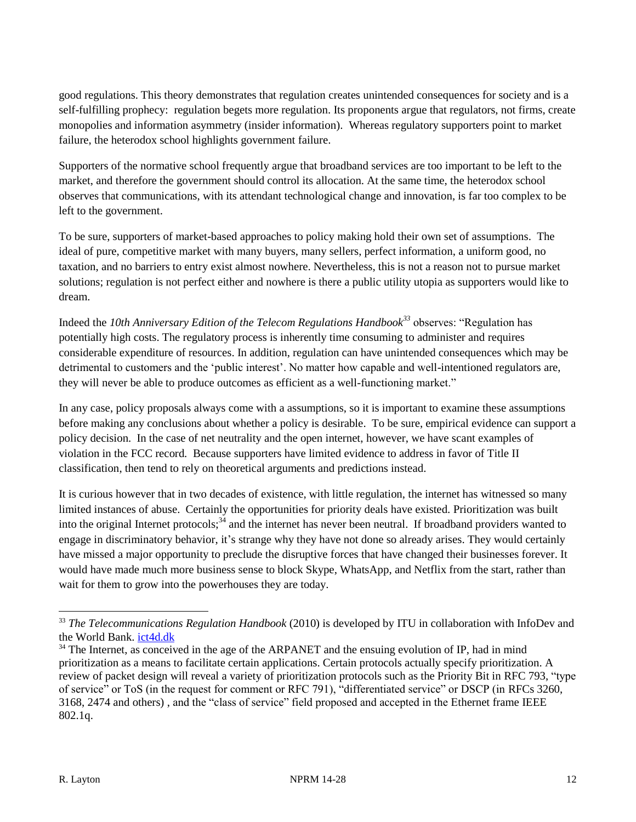good regulations. This theory demonstrates that regulation creates unintended consequences for society and is a self-fulfilling prophecy: regulation begets more regulation. Its proponents argue that regulators, not firms, create monopolies and information asymmetry (insider information). Whereas regulatory supporters point to market failure, the heterodox school highlights government failure.

Supporters of the normative school frequently argue that broadband services are too important to be left to the market, and therefore the government should control its allocation. At the same time, the heterodox school observes that communications, with its attendant technological change and innovation, is far too complex to be left to the government.

To be sure, supporters of market-based approaches to policy making hold their own set of assumptions. The ideal of pure, competitive market with many buyers, many sellers, perfect information, a uniform good, no taxation, and no barriers to entry exist almost nowhere. Nevertheless, this is not a reason not to pursue market solutions; regulation is not perfect either and nowhere is there a public utility utopia as supporters would like to dream.

Indeed the *10th Anniversary Edition of the Telecom Regulations Handbook<sup>33</sup>* observes: "Regulation has potentially high costs. The regulatory process is inherently time consuming to administer and requires considerable expenditure of resources. In addition, regulation can have unintended consequences which may be detrimental to customers and the 'public interest'. No matter how capable and well-intentioned regulators are, they will never be able to produce outcomes as efficient as a well-functioning market."

In any case, policy proposals always come with a assumptions, so it is important to examine these assumptions before making any conclusions about whether a policy is desirable. To be sure, empirical evidence can support a policy decision. In the case of net neutrality and the open internet, however, we have scant examples of violation in the FCC record. Because supporters have limited evidence to address in favor of Title II classification, then tend to rely on theoretical arguments and predictions instead.

It is curious however that in two decades of existence, with little regulation, the internet has witnessed so many limited instances of abuse. Certainly the opportunities for priority deals have existed. Prioritization was built into the original Internet protocols;  $34$  and the internet has never been neutral. If broadband providers wanted to engage in discriminatory behavior, it's strange why they have not done so already arises. They would certainly have missed a major opportunity to preclude the disruptive forces that have changed their businesses forever. It would have made much more business sense to block Skype, WhatsApp, and Netflix from the start, rather than wait for them to grow into the powerhouses they are today.

<sup>33</sup> *The Telecommunications Regulation Handbook* (2010) is developed by ITU in collaboration with InfoDev and the World Bank. [ict4d.dk](http://www.ict4d.dk/?page=123)

 $34$  The Internet, as conceived in the age of the ARPANET and the ensuing evolution of IP, had in mind prioritization as a means to facilitate certain applications. Certain protocols actually specify prioritization. A review of packet design will reveal a variety of prioritization protocols such as the Priority Bit in RFC 793, "type of service" or ToS (in the request for comment or RFC 791), "differentiated service" or DSCP (in RFCs 3260, 3168, 2474 and others) , and the "class of service" field proposed and accepted in the Ethernet frame IEEE 802.1q.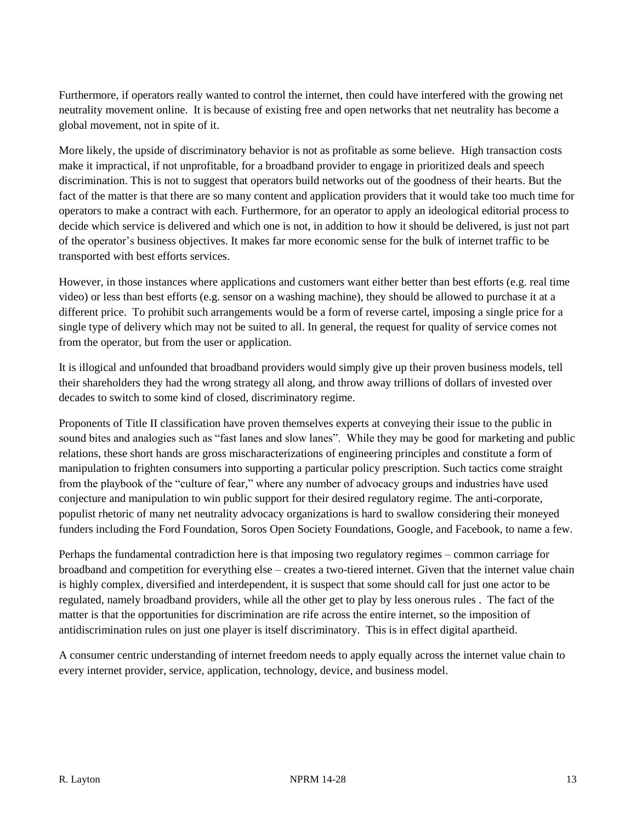Furthermore, if operators really wanted to control the internet, then could have interfered with the growing net neutrality movement online. It is because of existing free and open networks that net neutrality has become a global movement, not in spite of it.

More likely, the upside of discriminatory behavior is not as profitable as some believe. High transaction costs make it impractical, if not unprofitable, for a broadband provider to engage in prioritized deals and speech discrimination. This is not to suggest that operators build networks out of the goodness of their hearts. But the fact of the matter is that there are so many content and application providers that it would take too much time for operators to make a contract with each. Furthermore, for an operator to apply an ideological editorial process to decide which service is delivered and which one is not, in addition to how it should be delivered, is just not part of the operator's business objectives. It makes far more economic sense for the bulk of internet traffic to be transported with best efforts services.

However, in those instances where applications and customers want either better than best efforts (e.g. real time video) or less than best efforts (e.g. sensor on a washing machine), they should be allowed to purchase it at a different price. To prohibit such arrangements would be a form of reverse cartel, imposing a single price for a single type of delivery which may not be suited to all. In general, the request for quality of service comes not from the operator, but from the user or application.

It is illogical and unfounded that broadband providers would simply give up their proven business models, tell their shareholders they had the wrong strategy all along, and throw away trillions of dollars of invested over decades to switch to some kind of closed, discriminatory regime.

Proponents of Title II classification have proven themselves experts at conveying their issue to the public in sound bites and analogies such as "fast lanes and slow lanes". While they may be good for marketing and public relations, these short hands are gross mischaracterizations of engineering principles and constitute a form of manipulation to frighten consumers into supporting a particular policy prescription. Such tactics come straight from the playbook of the "culture of fear," where any number of advocacy groups and industries have used conjecture and manipulation to win public support for their desired regulatory regime. The anti-corporate, populist rhetoric of many net neutrality advocacy organizations is hard to swallow considering their moneyed funders including the Ford Foundation, Soros Open Society Foundations, Google, and Facebook, to name a few.

Perhaps the fundamental contradiction here is that imposing two regulatory regimes – common carriage for broadband and competition for everything else – creates a two-tiered internet. Given that the internet value chain is highly complex, diversified and interdependent, it is suspect that some should call for just one actor to be regulated, namely broadband providers, while all the other get to play by less onerous rules . The fact of the matter is that the opportunities for discrimination are rife across the entire internet, so the imposition of antidiscrimination rules on just one player is itself discriminatory. This is in effect digital apartheid.

A consumer centric understanding of internet freedom needs to apply equally across the internet value chain to every internet provider, service, application, technology, device, and business model.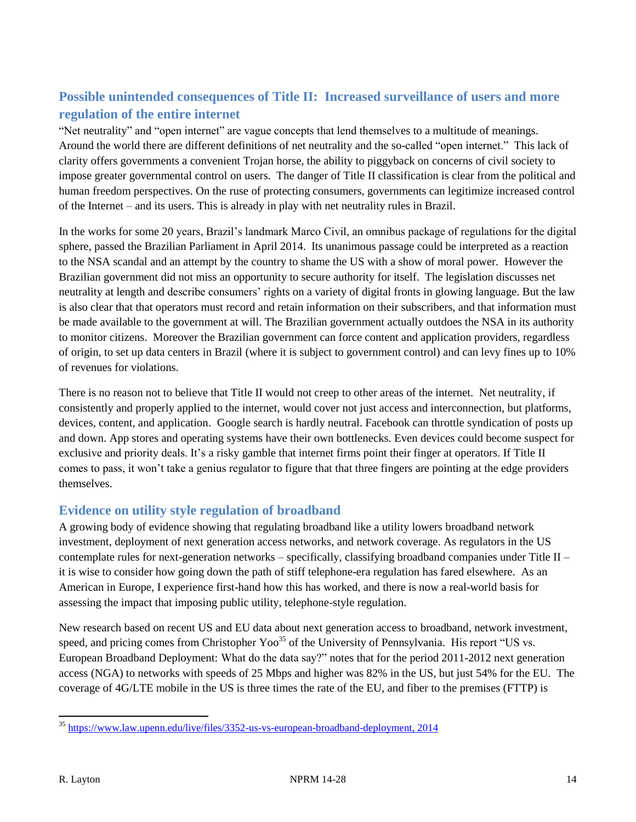# <span id="page-13-0"></span>**Possible unintended consequences of Title II: Increased surveillance of users and more regulation of the entire internet**

"Net neutrality" and "open internet" are vague concepts that lend themselves to a multitude of meanings. Around the world there are different definitions of net neutrality and the so-called "open internet." This lack of clarity offers governments a convenient Trojan horse, the ability to piggyback on concerns of civil society to impose greater governmental control on users. The danger of Title II classification is clear from the political and human freedom perspectives. On the ruse of protecting consumers, governments can legitimize increased control of the Internet – and its users. This is already in play with net neutrality rules in Brazil.

In the works for some 20 years, Brazil's landmark Marco Civil, an omnibus package of regulations for the digital sphere, passed the Brazilian Parliament in April 2014. Its unanimous passage could be interpreted as a reaction to the NSA scandal and an attempt by the country to shame the US with a show of moral power. However the Brazilian government did not miss an opportunity to secure authority for itself. The legislation discusses net neutrality at length and describe consumers' rights on a variety of digital fronts in glowing language. But the law is also clear that that operators must record and retain information on their subscribers, and that information must be made available to the government at will. The Brazilian government actually outdoes the NSA in its authority to monitor citizens. Moreover the Brazilian government can force content and application providers, regardless of origin, to set up data centers in Brazil (where it is subject to government control) and can levy fines up to 10% of revenues for violations.

There is no reason not to believe that Title II would not creep to other areas of the internet. Net neutrality, if consistently and properly applied to the internet, would cover not just access and interconnection, but platforms, devices, content, and application. Google search is hardly neutral. Facebook can throttle syndication of posts up and down. App stores and operating systems have their own bottlenecks. Even devices could become suspect for exclusive and priority deals. It's a risky gamble that internet firms point their finger at operators. If Title II comes to pass, it won't take a genius regulator to figure that that three fingers are pointing at the edge providers themselves.

#### <span id="page-13-1"></span>**Evidence on utility style regulation of broadband**

A growing body of evidence showing that regulating broadband like a utility lowers broadband network investment, deployment of next generation access networks, and network coverage. As regulators in the US contemplate rules for next-generation networks – specifically, classifying broadband companies under Title II – it is wise to consider how going down the path of stiff telephone-era regulation has fared elsewhere. As an American in Europe, I experience first-hand how this has worked, and there is now a real-world basis for assessing the impact that imposing public utility, telephone-style regulation.

New research based on recent US and EU data about next generation access to broadband, network investment, speed, and pricing comes from Christopher Yoo<sup>35</sup> of the University of Pennsylvania. His report "US vs. European Broadband Deployment: What do the data say?" notes that for the period 2011-2012 next generation access (NGA) to networks with speeds of 25 Mbps and higher was 82% in the US, but just 54% for the EU. The coverage of 4G/LTE mobile in the US is three times the rate of the EU, and fiber to the premises (FTTP) is

 $\overline{a}$ <sup>35</sup> [https://www.law.upenn.edu/live/files/3352-us-vs-european-broadband-deployment,](https://www.law.upenn.edu/live/files/3352-us-vs-european-broadband-deployment) 2014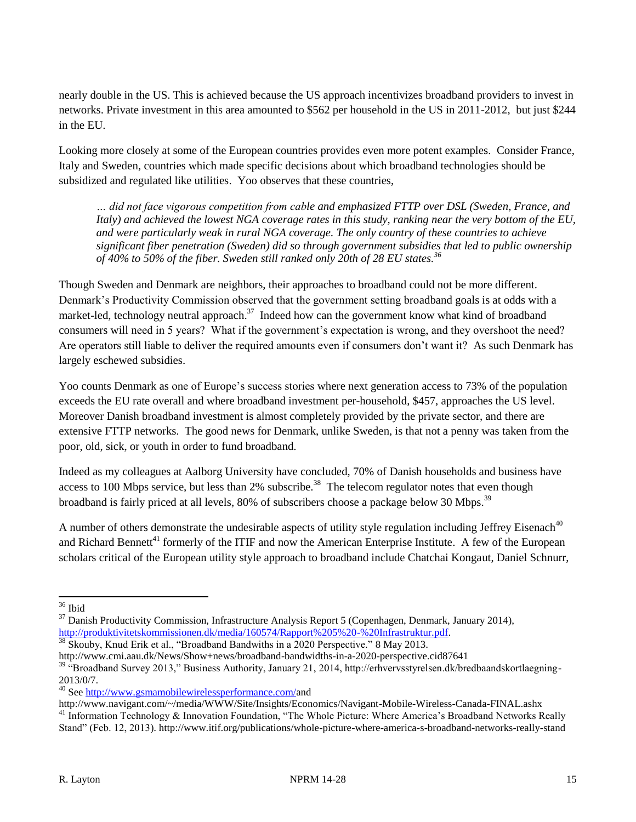nearly double in the US. This is achieved because the US approach incentivizes broadband providers to invest in networks. Private investment in this area amounted to \$562 per household in the US in 2011-2012, but just \$244 in the EU.

Looking more closely at some of the European countries provides even more potent examples. Consider France, Italy and Sweden, countries which made specific decisions about which broadband technologies should be subsidized and regulated like utilities. Yoo observes that these countries,

*… did not face vigorous competition from cable and emphasized FTTP over DSL (Sweden, France, and Italy) and achieved the lowest NGA coverage rates in this study, ranking near the very bottom of the EU, and were particularly weak in rural NGA coverage. The only country of these countries to achieve significant fiber penetration (Sweden) did so through government subsidies that led to public ownership of 40% to 50% of the fiber. Sweden still ranked only 20th of 28 EU states.<sup>36</sup>*

Though Sweden and Denmark are neighbors, their approaches to broadband could not be more different. Denmark's Productivity Commission observed that the government setting broadband goals is at odds with a market-led, technology neutral approach.<sup>37</sup> Indeed how can the government know what kind of broadband consumers will need in 5 years? What if the government's expectation is wrong, and they overshoot the need? Are operators still liable to deliver the required amounts even if consumers don't want it? As such Denmark has largely eschewed subsidies.

Yoo counts Denmark as one of Europe's success stories where next generation access to 73% of the population exceeds the EU rate overall and where broadband investment per-household, \$457, approaches the US level. Moreover Danish broadband investment is almost completely provided by the private sector, and there are extensive FTTP networks. The good news for Denmark, unlike Sweden, is that not a penny was taken from the poor, old, sick, or youth in order to fund broadband.

Indeed as my colleagues at Aalborg University have concluded, 70% of Danish households and business have access to 100 Mbps service, but less than 2% subscribe.<sup>38</sup> The telecom regulator notes that even though broadband is fairly priced at all levels, 80% of subscribers choose a package below 30 Mbps.<sup>39</sup>

A number of others demonstrate the undesirable aspects of utility style regulation including Jeffrey Eisenach<sup>40</sup> and Richard Bennett<sup>41</sup> formerly of the ITIF and now the American Enterprise Institute. A few of the European scholars critical of the European utility style approach to broadband include Chatchai Kongaut, Daniel Schnurr,

 $\overline{a}$ 

<sup>36</sup> Ibid

 $37$  Danish Productivity Commission, Infrastructure Analysis Report 5 (Copenhagen, Denmark, January 2014), [http://produktivitetskommissionen.dk/media/160574/Rapport%205%20-%20Infrastruktur.pdf.](http://produktivitetskommissionen.dk/media/160574/Rapport%205%20-%20Infrastruktur.pdf)

 $38$  Skouby, Knud Erik et al., "Broadband Bandwiths in a 2020 Perspective." 8 May 2013.

http://www.cmi.aau.dk/News/Show+news/broadband-bandwidths-in-a-2020-perspective.cid87641

<sup>&</sup>lt;sup>39</sup> "Broadband Survey 2013," Business Authority, January 21, 2014, http://erhvervsstyrelsen.dk/bredbaandskortlaegning-2013/0/7.

<sup>40</sup> Se[e http://www.gsmamobilewirelessperformance.com/a](http://www.gsmamobilewirelessperformance.com/)nd

http://www.navigant.com/~/media/WWW/Site/Insights/Economics/Navigant-Mobile-Wireless-Canada-FINAL.ashx  $41$  Information Technology & Innovation Foundation, "The Whole Picture: Where America's Broadband Networks Really Stand" (Feb. 12, 2013). http://www.itif.org/publications/whole-picture-where-america-s-broadband-networks-really-stand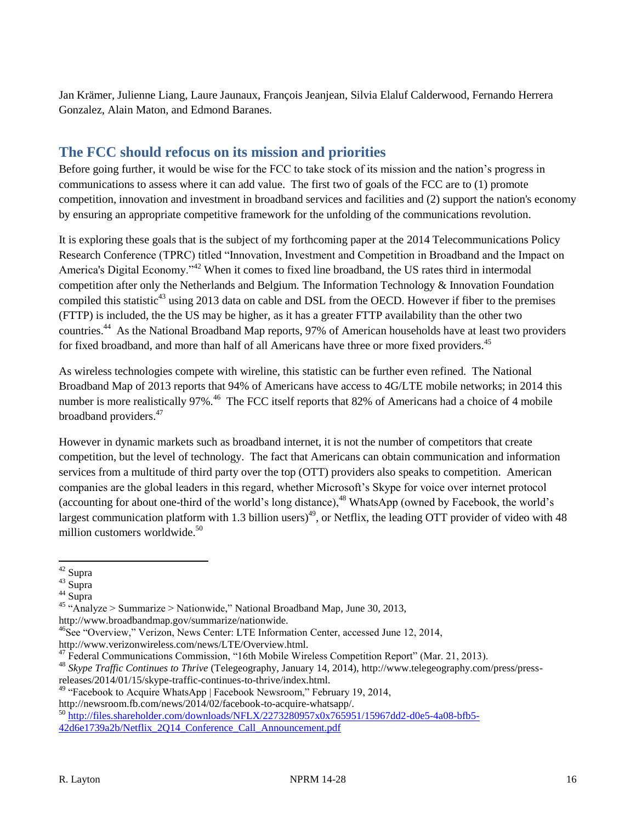Jan Krämer, Julienne Liang, Laure Jaunaux, François Jeanjean, Silvia Elaluf Calderwood, Fernando Herrera Gonzalez, Alain Maton, and Edmond Baranes.

### <span id="page-15-0"></span>**The FCC should refocus on its mission and priorities**

Before going further, it would be wise for the FCC to take stock of its mission and the nation's progress in communications to assess where it can add value. The first two of goals of the FCC are to (1) promote competition, innovation and investment in broadband services and facilities and (2) support the nation's economy by ensuring an appropriate competitive framework for the unfolding of the communications revolution.

It is exploring these goals that is the subject of my forthcoming paper at the 2014 Telecommunications Policy Research Conference (TPRC) titled "Innovation, Investment and Competition in Broadband and the Impact on America's Digital Economy."<sup>42</sup> When it comes to fixed line broadband, the US rates third in intermodal competition after only the Netherlands and Belgium. The Information Technology & Innovation Foundation compiled this statistic<sup>43</sup> using 2013 data on cable and DSL from the OECD. However if fiber to the premises (FTTP) is included, the the US may be higher, as it has a greater FTTP availability than the other two countries.<sup>44</sup> As the National Broadband Map reports, 97% of American households have at least two providers for fixed broadband, and more than half of all Americans have three or more fixed providers.<sup>45</sup>

As wireless technologies compete with wireline, this statistic can be further even refined. The National Broadband Map of 2013 reports that 94% of Americans have access to 4G/LTE mobile networks; in 2014 this number is more realistically 97%.<sup>46</sup> The FCC itself reports that 82% of Americans had a choice of 4 mobile broadband providers.<sup>47</sup>

However in dynamic markets such as broadband internet, it is not the number of competitors that create competition, but the level of technology. The fact that Americans can obtain communication and information services from a multitude of third party over the top (OTT) providers also speaks to competition. American companies are the global leaders in this regard, whether Microsoft's Skype for voice over internet protocol (accounting for about one-third of the world's long distance),  $48$  WhatsApp (owned by Facebook, the world's largest communication platform with 1.3 billion users)<sup>49</sup>, or Netflix, the leading OTT provider of video with 48 million customers worldwide.<sup>50</sup>

l <sup>42</sup> Supra

<sup>43</sup> Supra

<sup>44</sup> Supra

<sup>&</sup>lt;sup>45</sup> "Analyze > Summarize > Nationwide," National Broadband Map, June 30, 2013,

http://www.broadbandmap.gov/summarize/nationwide.

<sup>&</sup>lt;sup>46</sup>See "Overview," Verizon, News Center: LTE Information Center, accessed June 12, 2014,

http://www.verizonwireless.com/news/LTE/Overview.html.

<sup>&</sup>lt;sup>47</sup> Federal Communications Commission, "16th Mobile Wireless Competition Report" (Mar. 21, 2013).

<sup>48</sup> *Skype Traffic Continues to Thrive* (Telegeography, January 14, 2014), http://www.telegeography.com/press/press-

releases/2014/01/15/skype-traffic-continues-to-thrive/index.html.

<sup>&</sup>lt;sup>49</sup> "Facebook to Acquire WhatsApp | Facebook Newsroom," February 19, 2014,

http://newsroom.fb.com/news/2014/02/facebook-to-acquire-whatsapp/. <sup>50</sup> [http://files.shareholder.com/downloads/NFLX/2273280957x0x765951/15967dd2-d0e5-4a08-bfb5-](http://files.shareholder.com/downloads/NFLX/2273280957x0x765951/15967dd2-d0e5-4a08-bfb5-42d6e1739a2b/Netflix_2Q14_Conference_Call_Announcement.pdf) [42d6e1739a2b/Netflix\\_2Q14\\_Conference\\_Call\\_Announcement.pdf](http://files.shareholder.com/downloads/NFLX/2273280957x0x765951/15967dd2-d0e5-4a08-bfb5-42d6e1739a2b/Netflix_2Q14_Conference_Call_Announcement.pdf)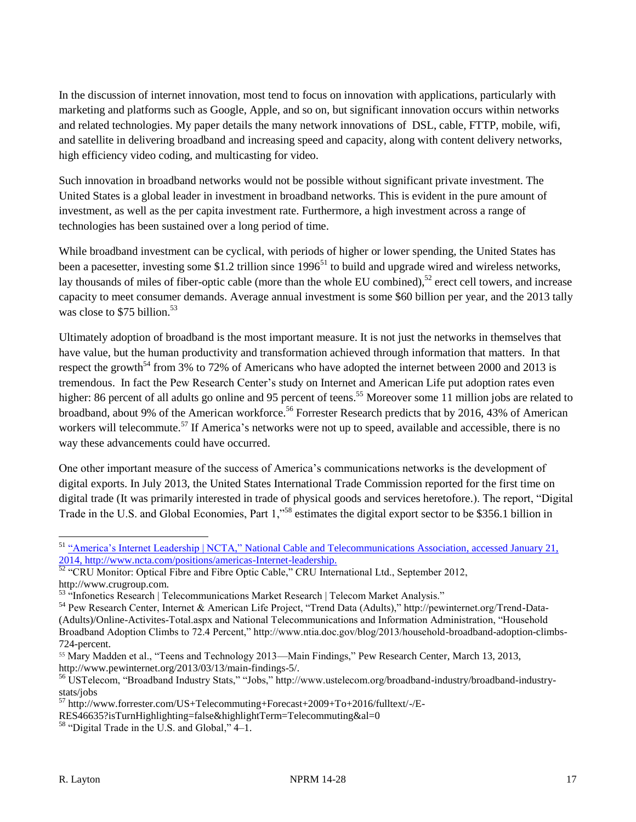In the discussion of internet innovation, most tend to focus on innovation with applications, particularly with marketing and platforms such as Google, Apple, and so on, but significant innovation occurs within networks and related technologies. My paper details the many network innovations of DSL, cable, FTTP, mobile, wifi, and satellite in delivering broadband and increasing speed and capacity, along with content delivery networks, high efficiency video coding, and multicasting for video.

Such innovation in broadband networks would not be possible without significant private investment. The United States is a global leader in investment in broadband networks. This is evident in the pure amount of investment, as well as the per capita investment rate. Furthermore, a high investment across a range of technologies has been sustained over a long period of time.

While broadband investment can be cyclical, with periods of higher or lower spending, the United States has been a pacesetter, investing some \$1.2 trillion since 1996<sup>51</sup> to build and upgrade wired and wireless networks, lay thousands of miles of fiber-optic cable (more than the whole EU combined),  $52$  erect cell towers, and increase capacity to meet consumer demands. Average annual investment is some \$60 billion per year, and the 2013 tally was close to \$75 billion.<sup>53</sup>

Ultimately adoption of broadband is the most important measure. It is not just the networks in themselves that have value, but the human productivity and transformation achieved through information that matters. In that respect the growth<sup>54</sup> from 3% to 72% of Americans who have adopted the internet between 2000 and 2013 is tremendous. In fact the Pew Research Center's study on Internet and American Life put adoption rates even higher: 86 percent of all adults go online and 95 percent of teens.<sup>55</sup> Moreover some 11 million jobs are related to broadband, about 9% of the American workforce.<sup>56</sup> Forrester Research predicts that by 2016, 43% of American workers will telecommute.<sup>57</sup> If America's networks were not up to speed, available and accessible, there is no way these advancements could have occurred.

One other important measure of the success of America's communications networks is the development of digital exports. In July 2013, the United States International Trade Commission reported for the first time on digital trade (It was primarily interested in trade of physical goods and services heretofore.). The report, "Digital Trade in the U.S. and Global Economies, Part 1,"<sup>58</sup> estimates the digital export sector to be \$356.1 billion in

<sup>&</sup>lt;sup>51</sup> "America's Internet Leadership | NCTA," National Cable and Telecommunications Association, accessed January 21, 2014, http://www.ncta.com/positions/americas-Internet-leadership.

<sup>&</sup>lt;sup>52</sup> "CRU Monitor: Optical Fibre and Fibre Optic Cable," CRU International Ltd., September 2012, http://www.crugroup.com.

<sup>&</sup>lt;sup>53</sup> "Infonetics Research | Telecommunications Market Research | Telecom Market Analysis."

<sup>54</sup> Pew Research Center, Internet & American Life Project, "Trend Data (Adults)," http://pewinternet.org/Trend-Data- (Adults)/Online-Activites-Total.aspx and National Telecommunications and Information Administration, "Household Broadband Adoption Climbs to 72.4 Percent," http://www.ntia.doc.gov/blog/2013/household-broadband-adoption-climbs-724-percent.

<sup>55</sup> Mary Madden et al., "Teens and Technology 2013—Main Findings," Pew Research Center, March 13, 2013, http://www.pewinternet.org/2013/03/13/main-findings-5/.

<sup>56</sup> USTelecom, "Broadband Industry Stats," "Jobs," http://www.ustelecom.org/broadband-industry/broadband-industrystats/jobs

 $^{57}$  http://www.forrester.com/US+Telecommuting+Forecast+2009+To+2016/fulltext/-/E-

RES46635?isTurnHighlighting=false&highlightTerm=Telecommuting&al=0

<sup>58</sup> "Digital Trade in the U.S. and Global," 4–1.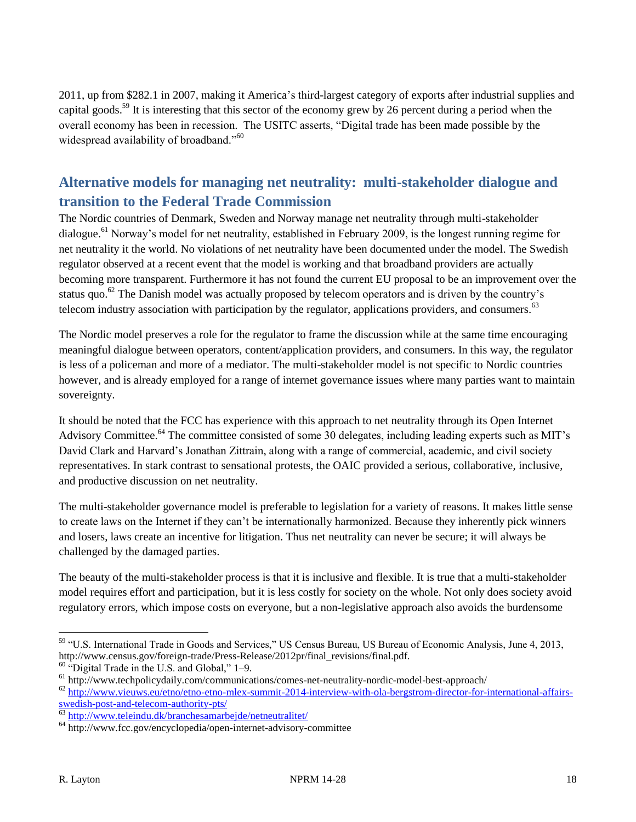2011, up from \$282.1 in 2007, making it America's third-largest category of exports after industrial supplies and capital goods.<sup>59</sup> It is interesting that this sector of the economy grew by 26 percent during a period when the overall economy has been in recession. The USITC asserts, "Digital trade has been made possible by the widespread availability of broadband."<sup>60</sup>

# <span id="page-17-0"></span>**Alternative models for managing net neutrality: multi-stakeholder dialogue and transition to the Federal Trade Commission**

The Nordic countries of Denmark, Sweden and Norway manage net neutrality through multi-stakeholder dialogue.<sup>61</sup> Norway's model for net neutrality, established in February 2009, is the longest running regime for net neutrality it the world. No violations of net neutrality have been documented under the model. The Swedish regulator observed at a recent event that the model is working and that broadband providers are actually becoming more transparent. Furthermore it has not found the current EU proposal to be an improvement over the status quo.<sup>62</sup> The Danish model was actually proposed by telecom operators and is driven by the country's telecom industry association with participation by the regulator, applications providers, and consumers.<sup>63</sup>

The Nordic model preserves a role for the regulator to frame the discussion while at the same time encouraging meaningful dialogue between operators, content/application providers, and consumers. In this way, the regulator is less of a policeman and more of a mediator. The multi-stakeholder model is not specific to Nordic countries however, and is already employed for a range of internet governance issues where many parties want to maintain sovereignty.

It should be noted that the FCC has experience with this approach to net neutrality through its Open Internet Advisory Committee.<sup>64</sup> The committee consisted of some 30 delegates, including leading experts such as MIT's David Clark and Harvard's Jonathan Zittrain, along with a range of commercial, academic, and civil society representatives. In stark contrast to sensational protests, the OAIC provided a serious, collaborative, inclusive, and productive discussion on net neutrality.

The multi-stakeholder governance model is preferable to legislation for a variety of reasons. It makes little sense to create laws on the Internet if they can't be internationally harmonized. Because they inherently pick winners and losers, laws create an incentive for litigation. Thus net neutrality can never be secure; it will always be challenged by the damaged parties.

The beauty of the multi-stakeholder process is that it is inclusive and flexible. It is true that a multi-stakeholder model requires effort and participation, but it is less costly for society on the whole. Not only does society avoid regulatory errors, which impose costs on everyone, but a non-legislative approach also avoids the burdensome

l

<sup>&</sup>lt;sup>59</sup> "U.S. International Trade in Goods and Services," US Census Bureau, US Bureau of Economic Analysis, June 4, 2013, http://www.census.gov/foreign-trade/Press-Release/2012pr/final\_revisions/final.pdf.

 $60$  "Digital Trade in the U.S. and Global," 1–9.

<sup>61</sup> http://www.techpolicydaily.com/communications/comes-net-neutrality-nordic-model-best-approach/

<sup>&</sup>lt;sup>62</sup> http://www.v<u>ieuws.eu/etno/etno-etno-mlex-summit-2014-interview-with-ola-bergstrom-director-for-international-affairs-</u> [swedish-post-and-telecom-authority-pts/](http://www.vieuws.eu/etno/etno-etno-mlex-summit-2014-interview-with-ola-bergstrom-director-for-international-affairs-swedish-post-and-telecom-authority-pts/)

 $\frac{63 \text{ http://www.teleindu.dk/branchesamarbejde/netneutralitet/}}{63 \text{ http://www.teleindu.dk/branchesamarbejde/netneutralitet/}}$  $\frac{63 \text{ http://www.teleindu.dk/branchesamarbejde/netneutralitet/}}{63 \text{ http://www.teleindu.dk/branchesamarbejde/netneutralitet/}}$  $\frac{63 \text{ http://www.teleindu.dk/branchesamarbejde/netneutralitet/}}{63 \text{ http://www.teleindu.dk/branchesamarbejde/netneutralitet/}}$ 

<sup>64</sup> http://www.fcc.gov/encyclopedia/open-internet-advisory-committee